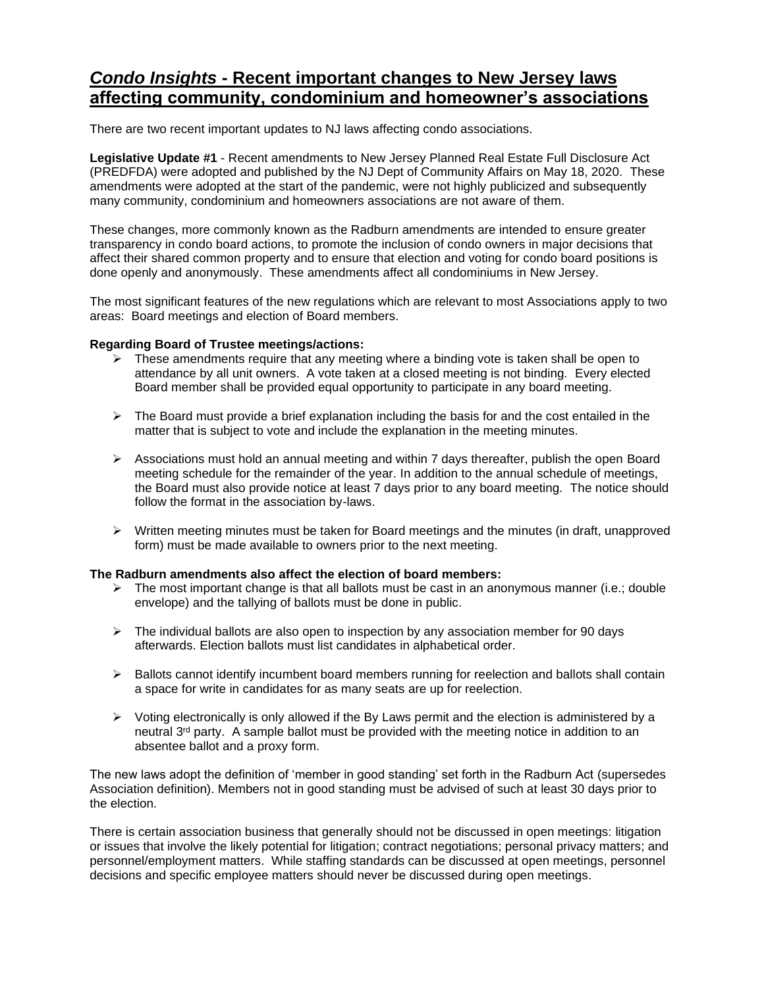## *Condo Insights* **- Recent important changes to New Jersey laws affecting community, condominium and homeowner's associations**

There are two recent important updates to NJ laws affecting condo associations.

**Legislative Update #1** - Recent amendments to New Jersey Planned Real Estate Full Disclosure Act (PREDFDA) were adopted and published by the NJ Dept of Community Affairs on May 18, 2020. These amendments were adopted at the start of the pandemic, were not highly publicized and subsequently many community, condominium and homeowners associations are not aware of them.

These changes, more commonly known as the Radburn amendments are intended to ensure greater transparency in condo board actions, to promote the inclusion of condo owners in major decisions that affect their shared common property and to ensure that election and voting for condo board positions is done openly and anonymously. These amendments affect all condominiums in New Jersey.

The most significant features of the new regulations which are relevant to most Associations apply to two areas: Board meetings and election of Board members.

## **Regarding Board of Trustee meetings/actions:**

- $\triangleright$  These amendments require that any meeting where a binding vote is taken shall be open to attendance by all unit owners. A vote taken at a closed meeting is not binding. Every elected Board member shall be provided equal opportunity to participate in any board meeting.
- $\triangleright$  The Board must provide a brief explanation including the basis for and the cost entailed in the matter that is subject to vote and include the explanation in the meeting minutes.
- $\triangleright$  Associations must hold an annual meeting and within 7 days thereafter, publish the open Board meeting schedule for the remainder of the year. In addition to the annual schedule of meetings, the Board must also provide notice at least 7 days prior to any board meeting. The notice should follow the format in the association by-laws.
- $\triangleright$  Written meeting minutes must be taken for Board meetings and the minutes (in draft, unapproved form) must be made available to owners prior to the next meeting.

## **The Radburn amendments also affect the election of board members:**

- $\triangleright$  The most important change is that all ballots must be cast in an anonymous manner (i.e.; double envelope) and the tallying of ballots must be done in public.
- $\triangleright$  The individual ballots are also open to inspection by any association member for 90 days afterwards. Election ballots must list candidates in alphabetical order.
- $\triangleright$  Ballots cannot identify incumbent board members running for reelection and ballots shall contain a space for write in candidates for as many seats are up for reelection.
- $\triangleright$  Voting electronically is only allowed if the By Laws permit and the election is administered by a neutral  $3<sup>rd</sup>$  party. A sample ballot must be provided with the meeting notice in addition to an absentee ballot and a proxy form.

The new laws adopt the definition of 'member in good standing' set forth in the Radburn Act (supersedes Association definition). Members not in good standing must be advised of such at least 30 days prior to the election.

There is certain association business that generally should not be discussed in open meetings: litigation or issues that involve the likely potential for litigation; contract negotiations; personal privacy matters; and personnel/employment matters. While staffing standards can be discussed at open meetings, personnel decisions and specific employee matters should never be discussed during open meetings.